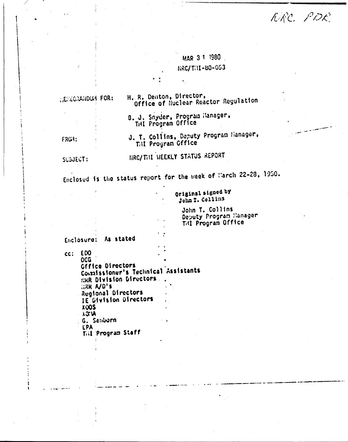KRC. PDE

MAR 3 1 1980 RRC/THI-80-053

H. R. Denton, Director, HEMEORAHOUR FOR: Office of Nuclear Reactor Regulation B. J. Snyder, Program Hanager, THI Program Office J. T. Collins, Deputy Program Manager, FRG4: THI Program Office HRC/THI HEEKLY STATUS REPORT SUBJECT:

Enclosed is the status report for the week of March 22-28, 1950.

Original signed by John T. Collins

> John T. Collins Deputy Program Manager T41 Program Office

Enclosure: As stated

 $cc: EDO$ **OCG** *<u>GFFIce Directors</u>* Containsioner's Technical Assistants ERR Division Directors HAR A/D'S Regional Directors IE Division Directors **XOOS**  $\lambda$  I  $\lambda$ G. Sanborn **LPA** Till Program Staff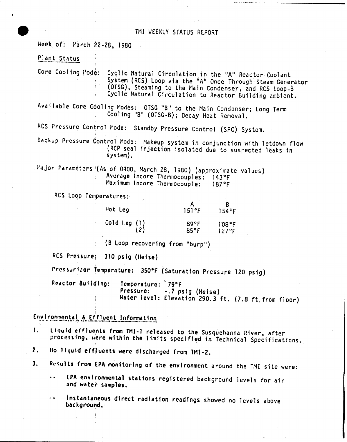Week of: March 22-28, 1980

### Plant Status

Core Cooling Hode: Cyclic Natural Circulation in the "A" Reactor Coolant System (RCS) Loop via the "A" Once Through Steam Generator (OTSG), Steaming to the Main Condenser, and RCS Loop-B Cyclic Natural Circulation to Reactor Building ambient.

Available Core Cooling Modes: OTSG "B" to the Main Condenser; Long Term Cooling "B" (OTSG-B); Decay Heat Removal.

RCS Pressure Control Mode: Standby Pressure Control (SPC) System.

Backup Pressure Control Mode: Makeup system in conjunction with letdown flow (RCP seal injection isolated due to suspected leaks in  $s$  vs tem).

Major Paraméters (As of 0400, March 28, 1980) (approximate values) Average Incore Thermocouples: 143°F Maximum Incore Thermocouple:  $187°F$ 

RCS Loop Temperatures:

| Hot Leg               | 151°F        | 154°F          |
|-----------------------|--------------|----------------|
| Cold Leg $(1)$<br>(2) | 89°F<br>85°F | 108°F<br>127°F |

(B Loop recovering from "burp")

RCS Pressure: 310 psig (Heise)

Pressurizer Temperature: 350°F (Saturation Pressure 120 psig)

Reactor Building: Temperature: '79°F Pressure: -.7 psig (Heise) Water level: Elevation 290.3 ft. (7.8 ft from floor)

Environmental & Effluent Information.

Liquid effluents from TMI-1 released to the Susquehanna River, after 1. processing, were within the limits specified in Technical Specifications.

- No liquid effluents were discharged from TMI-2.  $2.$
- Results from EPA monitoring of the environment around the TMI site were:  $\mathbf{3}_{+}$ 
	- EPA environmental stations registered background levels for air and water samples.
	- Instantaneous direct radiation readings showed no levels above  $\sim$ background.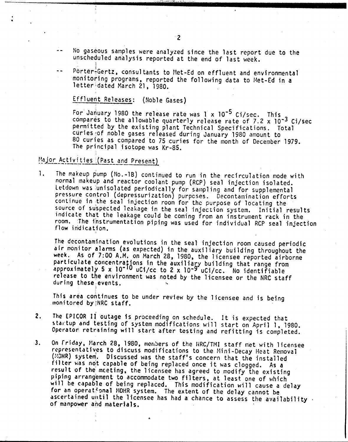- No gaseous samples were analyzed since the last report due to the unscheduled analysis reported at the end of last week.
- $\overline{a}$ Porter:Gertz, consultants to Met-Ed on effluent and environmental monitoring programs, reported the following data to Met-Ed in a letter<sup>1</sup>dated March 21, 1980.

## Effluent Releases: (Noble Gases)

For January 1980 the release rate was 1 x 10-5 Ci/sec. This compares to the allowable quarterly release rate of 7.2 x 10-3 Ci/sec permitted by the existing plant Technical Specifications. Total curies'iof noble gases released during January 1980 amount to 80 curies as compared to 75 curies for the month of December 1979. The principal isotope was Kr-85.

# Major Activities (Past and Present)

I

. . . . . . . . . <u>.</u>

*1. The* makeup pump (No.-1B) continued to run in the recirculation mode with normal makeup and reactor coolant pump (Rep) seal injection isolated. Letdown was iunisolated periodically for sampling and for supplemental pressure control (depressurization) purpcses. Decontamination efforts continue in the seal injection room for the purpose of locating the source of su'spected leakage in the seal injection system. Initial results indicate that the leakage could be coming from an instrument rack in the room. 1he ihstrumentation piping was used for individual RCP seal injection flow in'dication.

The decontamination evolutions in the seal injection room caused periodic air monitor alarms (as expected) in the auxiliary building throughout the week. As of 7:00 A.M. on March 28, 1980, the licensee reported airborne particulate concentrations in the auxiliary building that range from npproximately 5 x 10-10 uCI/cc to 2 *<sup>x</sup>* 10-9 uCi/cc. No identifiable release, to the environment was noted by the licensee or the NRC staff during these events.

This area continues to be under review by the licensee and is being monitored by MRC staff.

- 2. The EPICOR *Ii* outage is proceeding on schedule. It is expected that startup and testing of system modifications will start on April 1, 1980. Operator retraining will start after testing and refitting is completed.
- 3. On Friday, March 28, 1980, members of the HRC/TMI staff met with licensee representatives to discuss modifications to the Mini-Decay Heat Removal (MDHR) system. Discussed was the staff's concern that the installed filter was not capable of being replaced once it was clogged. As a result of the meeting, the licensee has agreed to modify the existing piping arrangement to accommodate two filters, at least one of which will be capable of being replaced. This modification will cause a delay for an operational MOHR system. The extent of the delay cannot be ascertained until the licensee has had a chance to assess the availability. of manpower and materials.

..